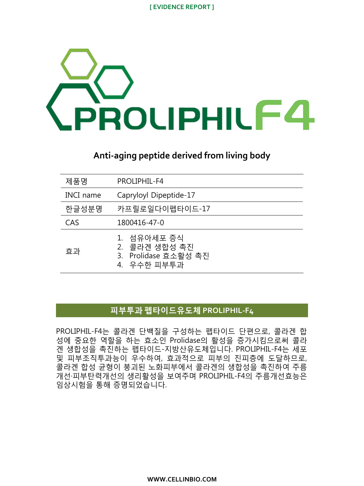

## **Anti-aging peptide derived from living body**

| 제품명       | PROLIPHIL-F4                                                        |
|-----------|---------------------------------------------------------------------|
| INCI name | Capryloyl Dipeptide-17                                              |
| 한글성부명     | 카프릴로일다이펩타이드-17                                                      |
| CAS       | 1800416-47-0                                                        |
| 효과        | 1. 섬유아세포 증식<br>2. 콜라겐 생합성 촉진<br>3. Prolidase 효소활성 촉진<br>4. 우수한 피부투과 |

### 피부투과 펩타이드유도체 **PROLIPHIL-F4**

PROLIPHIL-F4는 콜라겐 단백질을 구성하는 펩타이드 단편으로, 콜라겐 합 성에 중요한 역할을 하는 효소인 Prolidase의 활성을 증가시킴으로써 콜라 겐 생합성을 촉진하는 펩타이드-지방산유도체입니다. PROLIPHIL-F4는 세포 및 피부조직투과능이 우수하여, 효과적으로 피부의 진피층에 도달하므로, 콜라겐 합성 균형이 붕괴된 노화피부에서 콜라겐의 생합성을 촉진하여 주름 개선·피부탄력개선의 생리활성을 보여주며 PROLIPHIL-F4의 주름개선효능은 임상시험을 통해 증명되었습니다.